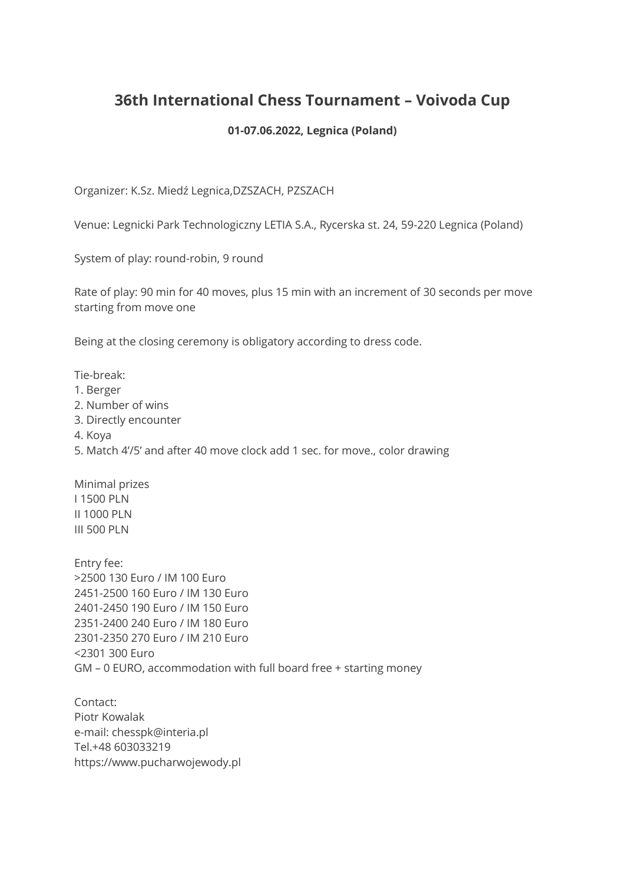## **36th International Chess Tournament – Voivoda Cup**

## **01-07.06.2022, Legnica (Poland)**

Organizer: K.Sz. Miedź Legnica,DZSZACH, PZSZACH

Venue: Legnicki Park Technologiczny LETIA S.A., Rycerska st. 24, 59-220 Legnica (Poland)

System of play: round-robin, 9 round

Rate of play: 90 min for 40 moves, plus 15 min with an increment of 30 seconds per move starting from move one

Being at the closing ceremony is obligatory according to dress code.

Tie-break:

- 1. Berger
- 2. Number of wins
- 3. Directly encounter
- 4. Koya
- 5. Match 4'/5' and after 40 move clock add 1 sec. for move., color drawing

Minimal prizes I 1500 PLN II 1000 PLN III 500 PLN

Entry fee: >2500 130 Euro / IM 100 Euro 2451-2500 160 Euro / IM 130 Euro 2401-2450 190 Euro / IM 150 Euro 2351-2400 240 Euro / IM 180 Euro 2301-2350 270 Euro / IM 210 Euro <2301 300 Euro GM – 0 EURO, accommodation with full board free + starting money

Contact: Piotr Kowalak e-mail: chesspk@interia.pl Tel.+48 603033219 https://www.pucharwojewody.pl